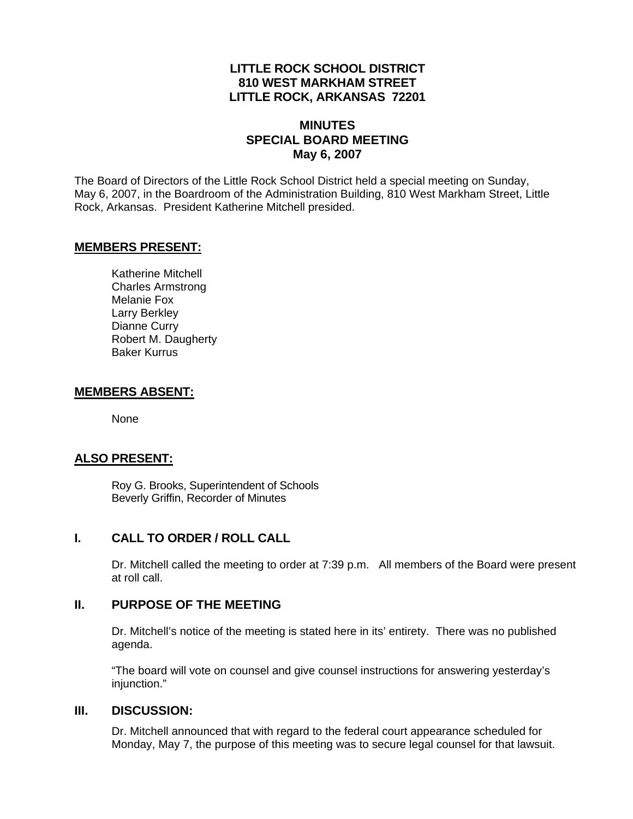# **LITTLE ROCK SCHOOL DISTRICT 810 WEST MARKHAM STREET LITTLE ROCK, ARKANSAS 72201**

#### **MINUTES SPECIAL BOARD MEETING May 6, 2007**

The Board of Directors of the Little Rock School District held a special meeting on Sunday, May 6, 2007, in the Boardroom of the Administration Building, 810 West Markham Street, Little Rock, Arkansas. President Katherine Mitchell presided.

#### **MEMBERS PRESENT:**

Katherine Mitchell Charles Armstrong Melanie Fox Larry Berkley Dianne Curry Robert M. Daugherty Baker Kurrus

#### **MEMBERS ABSENT:**

None

# **ALSO PRESENT:**

 Roy G. Brooks, Superintendent of Schools Beverly Griffin, Recorder of Minutes

# **I. CALL TO ORDER / ROLL CALL**

Dr. Mitchell called the meeting to order at 7:39 p.m. All members of the Board were present at roll call.

# **II. PURPOSE OF THE MEETING**

Dr. Mitchell's notice of the meeting is stated here in its' entirety. There was no published agenda.

"The board will vote on counsel and give counsel instructions for answering yesterday's iniunction."

#### **III. DISCUSSION:**

Dr. Mitchell announced that with regard to the federal court appearance scheduled for Monday, May 7, the purpose of this meeting was to secure legal counsel for that lawsuit.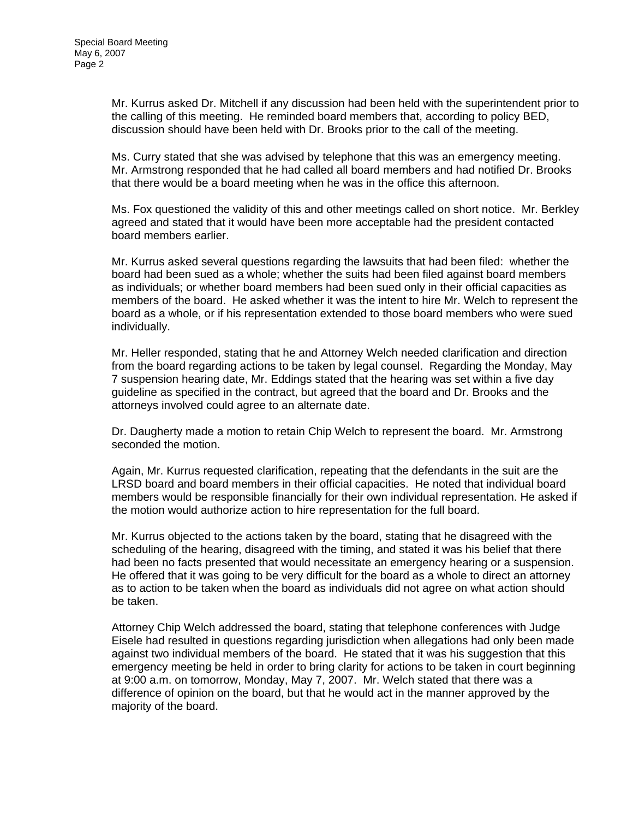Mr. Kurrus asked Dr. Mitchell if any discussion had been held with the superintendent prior to the calling of this meeting. He reminded board members that, according to policy BED, discussion should have been held with Dr. Brooks prior to the call of the meeting.

Ms. Curry stated that she was advised by telephone that this was an emergency meeting. Mr. Armstrong responded that he had called all board members and had notified Dr. Brooks that there would be a board meeting when he was in the office this afternoon.

Ms. Fox questioned the validity of this and other meetings called on short notice. Mr. Berkley agreed and stated that it would have been more acceptable had the president contacted board members earlier.

Mr. Kurrus asked several questions regarding the lawsuits that had been filed: whether the board had been sued as a whole; whether the suits had been filed against board members as individuals; or whether board members had been sued only in their official capacities as members of the board. He asked whether it was the intent to hire Mr. Welch to represent the board as a whole, or if his representation extended to those board members who were sued individually.

Mr. Heller responded, stating that he and Attorney Welch needed clarification and direction from the board regarding actions to be taken by legal counsel. Regarding the Monday, May 7 suspension hearing date, Mr. Eddings stated that the hearing was set within a five day guideline as specified in the contract, but agreed that the board and Dr. Brooks and the attorneys involved could agree to an alternate date.

Dr. Daugherty made a motion to retain Chip Welch to represent the board. Mr. Armstrong seconded the motion.

Again, Mr. Kurrus requested clarification, repeating that the defendants in the suit are the LRSD board and board members in their official capacities. He noted that individual board members would be responsible financially for their own individual representation. He asked if the motion would authorize action to hire representation for the full board.

Mr. Kurrus objected to the actions taken by the board, stating that he disagreed with the scheduling of the hearing, disagreed with the timing, and stated it was his belief that there had been no facts presented that would necessitate an emergency hearing or a suspension. He offered that it was going to be very difficult for the board as a whole to direct an attorney as to action to be taken when the board as individuals did not agree on what action should be taken.

Attorney Chip Welch addressed the board, stating that telephone conferences with Judge Eisele had resulted in questions regarding jurisdiction when allegations had only been made against two individual members of the board. He stated that it was his suggestion that this emergency meeting be held in order to bring clarity for actions to be taken in court beginning at 9:00 a.m. on tomorrow, Monday, May 7, 2007. Mr. Welch stated that there was a difference of opinion on the board, but that he would act in the manner approved by the majority of the board.